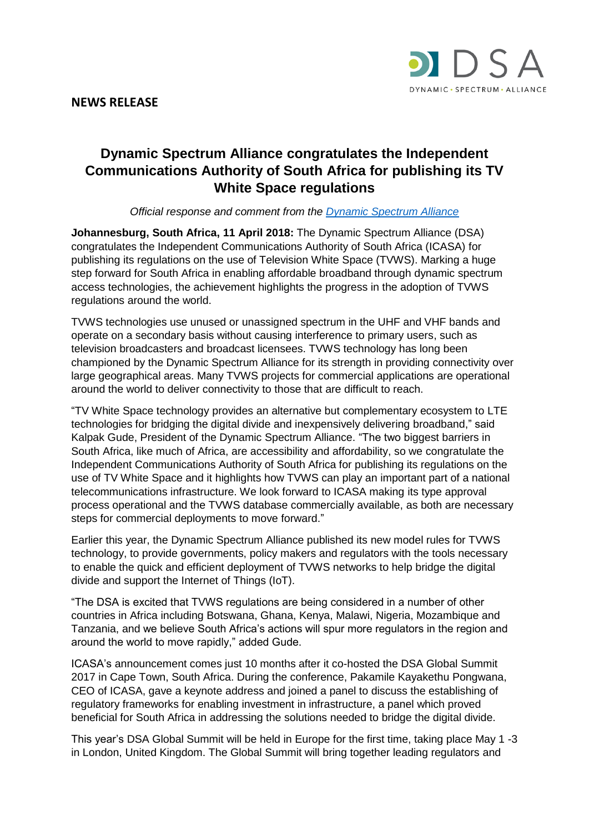



# **Dynamic Spectrum Alliance congratulates the Independent Communications Authority of South Africa for publishing its TV White Space regulations**

## *Official response and comment from the [Dynamic Spectrum Alliance](http://www.dynamicspectrumalliance.org/)*

**Johannesburg, South Africa, 11 April 2018:** The Dynamic Spectrum Alliance (DSA) congratulates the Independent Communications Authority of South Africa (ICASA) for publishing its regulations on the use of Television White Space (TVWS). Marking a huge step forward for South Africa in enabling affordable broadband through dynamic spectrum access technologies, the achievement highlights the progress in the adoption of TVWS regulations around the world.

TVWS technologies use unused or unassigned spectrum in the UHF and VHF bands and operate on a secondary basis without causing interference to primary users, such as television broadcasters and broadcast licensees. TVWS technology has long been championed by the Dynamic Spectrum Alliance for its strength in providing connectivity over large geographical areas. Many TVWS projects for commercial applications are operational around the world to deliver connectivity to those that are difficult to reach.

"TV White Space technology provides an alternative but complementary ecosystem to LTE technologies for bridging the digital divide and inexpensively delivering broadband," said Kalpak Gude, President of the Dynamic Spectrum Alliance. "The two biggest barriers in South Africa, like much of Africa, are accessibility and affordability, so we congratulate the Independent Communications Authority of South Africa for publishing its regulations on the use of TV White Space and it highlights how TVWS can play an important part of a national telecommunications infrastructure. We look forward to ICASA making its type approval process operational and the TVWS database commercially available, as both are necessary steps for commercial deployments to move forward."

Earlier this year, the Dynamic Spectrum Alliance published its new model rules for TVWS technology, to provide governments, policy makers and regulators with the tools necessary to enable the quick and efficient deployment of TVWS networks to help bridge the digital divide and support the Internet of Things (IoT).

"The DSA is excited that TVWS regulations are being considered in a number of other countries in Africa including Botswana, Ghana, Kenya, Malawi, Nigeria, Mozambique and Tanzania, and we believe South Africa's actions will spur more regulators in the region and around the world to move rapidly," added Gude.

ICASA's announcement comes just 10 months after it co-hosted the DSA Global Summit 2017 in Cape Town, South Africa. During the conference, Pakamile Kayakethu Pongwana, CEO of ICASA, gave a keynote address and joined a panel to discuss the establishing of regulatory frameworks for enabling investment in infrastructure, a panel which proved beneficial for South Africa in addressing the solutions needed to bridge the digital divide.

This year's DSA Global Summit will be held in Europe for the first time, taking place May 1 -3 in London, United Kingdom. The Global Summit will bring together leading regulators and